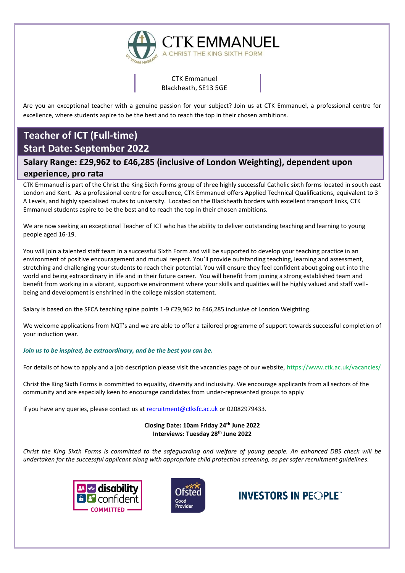

CTK Emmanuel Blackheath, SE13 5GE

Are you an exceptional teacher with a genuine passion for your subject? Join us at CTK Emmanuel, a professional centre for excellence, where students aspire to be the best and to reach the top in their chosen ambitions.

**CTK EMMANUEL** 

# **Teacher of ICT (Full-time) Start Date: September 2022**

# **Salary Range: £29,962 to £46,285 (inclusive of London Weighting), dependent upon experience, pro rata**

CTK Emmanuel is part of the Christ the King Sixth Forms group of three highly successful Catholic sixth forms located in south east London and Kent. As a professional centre for excellence, CTK Emmanuel offers Applied Technical Qualifications, equivalent to 3 A Levels, and highly specialised routes to university. Located on the Blackheath borders with excellent transport links, CTK Emmanuel students aspire to be the best and to reach the top in their chosen ambitions.

We are now seeking an exceptional Teacher of ICT who has the ability to deliver outstanding teaching and learning to young people aged 16-19.

You will join a talented staff team in a successful Sixth Form and will be supported to develop your teaching practice in an environment of positive encouragement and mutual respect. You'll provide outstanding teaching, learning and assessment, stretching and challenging your students to reach their potential. You will ensure they feel confident about going out into the world and being extraordinary in life and in their future career. You will benefit from joining a strong established team and benefit from working in a vibrant, supportive environment where your skills and qualities will be highly valued and staff wellbeing and development is enshrined in the college mission statement.

Salary is based on the SFCA teaching spine points 1-9 £29,962 to £46,285 inclusive of London Weighting.

We welcome applications from NQT's and we are able to offer a tailored programme of support towards successful completion of your induction year.

## *Join us to be inspired, be extraordinary, and be the best you can be.*

For details of how to apply and a job description please visit the vacancies page of our website,<https://www.ctk.ac.uk/vacancies/>

Christ the King Sixth Forms is committed to equality, diversity and inclusivity. We encourage applicants from all sectors of the community and are especially keen to encourage candidates from under-represented groups to apply

If you have any queries, please contact us a[t recruitment@ctksfc.ac.uk](mailto:recruitment@ctksfc.ac.uk) or 02082979433.

**Closing Date: 10am Friday 24th June 2022 Interviews: Tuesday 28th June 2022**

*Christ the King Sixth Forms is committed to the safeguarding and welfare of young people. An enhanced DBS check will be undertaken for the successful applicant along with appropriate child protection screening, as per safer recruitment guidelines.*





# **INVESTORS IN PEOPLE**"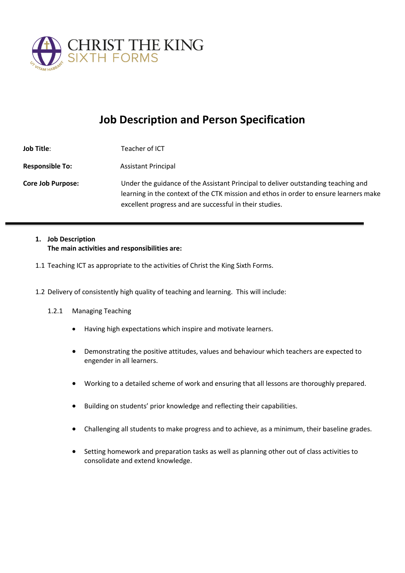

# **Job Description and Person Specification**

**Job Title**: Teacher of ICT

**Responsible To:** Assistant Principal

**Core Job Purpose:** Under the guidance of the Assistant Principal to deliver outstanding teaching and learning in the context of the CTK mission and ethos in order to ensure learners make excellent progress and are successful in their studies.

# **1. Job Description The main activities and responsibilities are:**

- 1.1 Teaching ICT as appropriate to the activities of Christ the King Sixth Forms.
- 1.2 Delivery of consistently high quality of teaching and learning. This will include:
	- 1.2.1 Managing Teaching
		- Having high expectations which inspire and motivate learners.
		- Demonstrating the positive attitudes, values and behaviour which teachers are expected to engender in all learners.
		- Working to a detailed scheme of work and ensuring that all lessons are thoroughly prepared.
		- Building on students' prior knowledge and reflecting their capabilities.
		- Challenging all students to make progress and to achieve, as a minimum, their baseline grades.
		- Setting homework and preparation tasks as well as planning other out of class activities to consolidate and extend knowledge.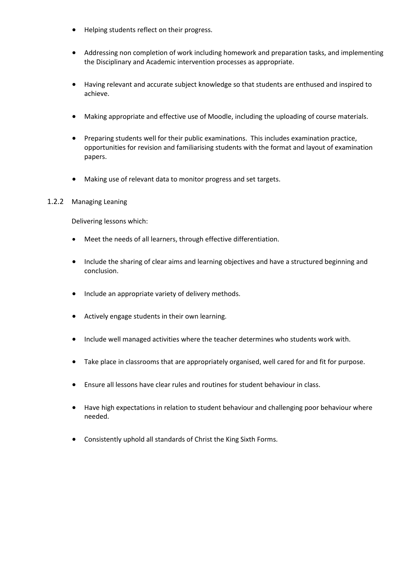- Helping students reflect on their progress.
- Addressing non completion of work including homework and preparation tasks, and implementing the Disciplinary and Academic intervention processes as appropriate.
- Having relevant and accurate subject knowledge so that students are enthused and inspired to achieve.
- Making appropriate and effective use of Moodle, including the uploading of course materials.
- Preparing students well for their public examinations. This includes examination practice, opportunities for revision and familiarising students with the format and layout of examination papers.
- Making use of relevant data to monitor progress and set targets.
- 1.2.2 Managing Leaning

Delivering lessons which:

- Meet the needs of all learners, through effective differentiation.
- Include the sharing of clear aims and learning objectives and have a structured beginning and conclusion.
- Include an appropriate variety of delivery methods.
- Actively engage students in their own learning.
- Include well managed activities where the teacher determines who students work with.
- Take place in classrooms that are appropriately organised, well cared for and fit for purpose.
- Ensure all lessons have clear rules and routines for student behaviour in class.
- Have high expectations in relation to student behaviour and challenging poor behaviour where needed.
- Consistently uphold all standards of Christ the King Sixth Forms.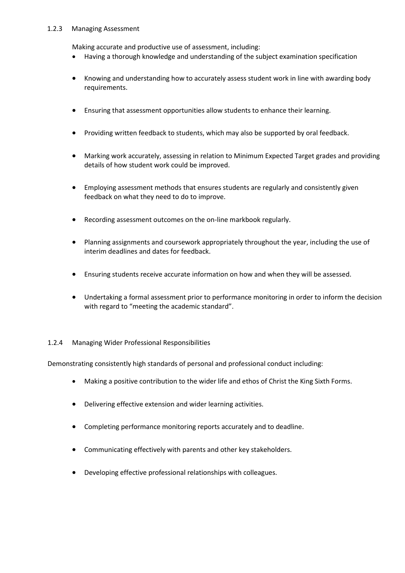## 1.2.3 Managing Assessment

Making accurate and productive use of assessment, including:

- Having a thorough knowledge and understanding of the subject examination specification
- Knowing and understanding how to accurately assess student work in line with awarding body requirements.
- Ensuring that assessment opportunities allow students to enhance their learning.
- Providing written feedback to students, which may also be supported by oral feedback.
- Marking work accurately, assessing in relation to Minimum Expected Target grades and providing details of how student work could be improved.
- Employing assessment methods that ensures students are regularly and consistently given feedback on what they need to do to improve.
- Recording assessment outcomes on the on-line markbook regularly.
- Planning assignments and coursework appropriately throughout the year, including the use of interim deadlines and dates for feedback.
- Ensuring students receive accurate information on how and when they will be assessed.
- Undertaking a formal assessment prior to performance monitoring in order to inform the decision with regard to "meeting the academic standard".

## 1.2.4 Managing Wider Professional Responsibilities

Demonstrating consistently high standards of personal and professional conduct including:

- Making a positive contribution to the wider life and ethos of Christ the King Sixth Forms.
- Delivering effective extension and wider learning activities.
- Completing performance monitoring reports accurately and to deadline.
- Communicating effectively with parents and other key stakeholders.
- Developing effective professional relationships with colleagues.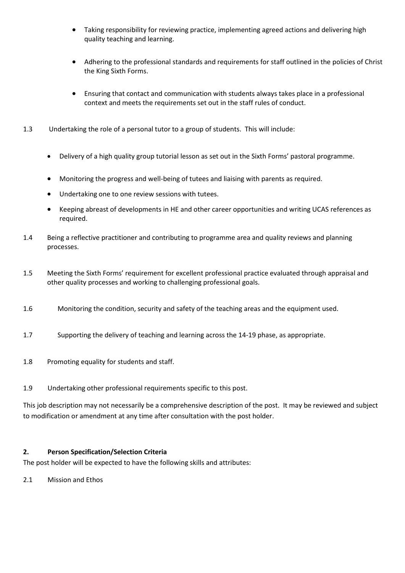- Taking responsibility for reviewing practice, implementing agreed actions and delivering high quality teaching and learning.
- Adhering to the professional standards and requirements for staff outlined in the policies of Christ the King Sixth Forms.
- Ensuring that contact and communication with students always takes place in a professional context and meets the requirements set out in the staff rules of conduct.
- 1.3 Undertaking the role of a personal tutor to a group of students. This will include:
	- Delivery of a high quality group tutorial lesson as set out in the Sixth Forms' pastoral programme.
	- Monitoring the progress and well-being of tutees and liaising with parents as required.
	- Undertaking one to one review sessions with tutees.
	- Keeping abreast of developments in HE and other career opportunities and writing UCAS references as required.
- 1.4 Being a reflective practitioner and contributing to programme area and quality reviews and planning processes.
- 1.5 Meeting the Sixth Forms' requirement for excellent professional practice evaluated through appraisal and other quality processes and working to challenging professional goals.
- 1.6 Monitoring the condition, security and safety of the teaching areas and the equipment used.
- 1.7 Supporting the delivery of teaching and learning across the 14-19 phase, as appropriate.
- 1.8 Promoting equality for students and staff.
- 1.9 Undertaking other professional requirements specific to this post.

This job description may not necessarily be a comprehensive description of the post. It may be reviewed and subject to modification or amendment at any time after consultation with the post holder.

## **2. Person Specification/Selection Criteria**

The post holder will be expected to have the following skills and attributes:

2.1 Mission and Ethos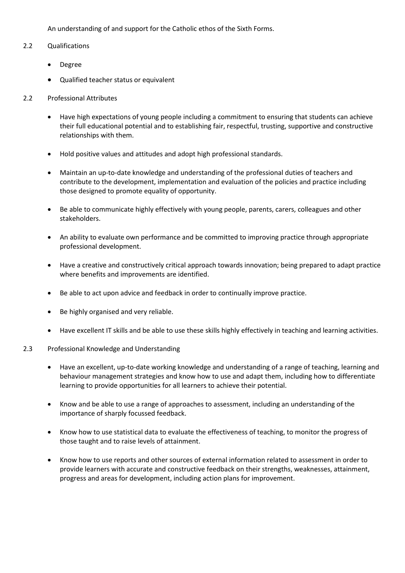An understanding of and support for the Catholic ethos of the Sixth Forms.

## 2.2 Qualifications

- Degree
- Qualified teacher status or equivalent
- 2.2 Professional Attributes
	- Have high expectations of young people including a commitment to ensuring that students can achieve their full educational potential and to establishing fair, respectful, trusting, supportive and constructive relationships with them.
	- Hold positive values and attitudes and adopt high professional standards.
	- Maintain an up-to-date knowledge and understanding of the professional duties of teachers and contribute to the development, implementation and evaluation of the policies and practice including those designed to promote equality of opportunity.
	- Be able to communicate highly effectively with young people, parents, carers, colleagues and other stakeholders.
	- An ability to evaluate own performance and be committed to improving practice through appropriate professional development.
	- Have a creative and constructively critical approach towards innovation; being prepared to adapt practice where benefits and improvements are identified.
	- Be able to act upon advice and feedback in order to continually improve practice.
	- Be highly organised and very reliable.
	- Have excellent IT skills and be able to use these skills highly effectively in teaching and learning activities.
- 2.3 Professional Knowledge and Understanding
	- Have an excellent, up-to-date working knowledge and understanding of a range of teaching, learning and behaviour management strategies and know how to use and adapt them, including how to differentiate learning to provide opportunities for all learners to achieve their potential.
	- Know and be able to use a range of approaches to assessment, including an understanding of the importance of sharply focussed feedback.
	- Know how to use statistical data to evaluate the effectiveness of teaching, to monitor the progress of those taught and to raise levels of attainment.
	- Know how to use reports and other sources of external information related to assessment in order to provide learners with accurate and constructive feedback on their strengths, weaknesses, attainment, progress and areas for development, including action plans for improvement.